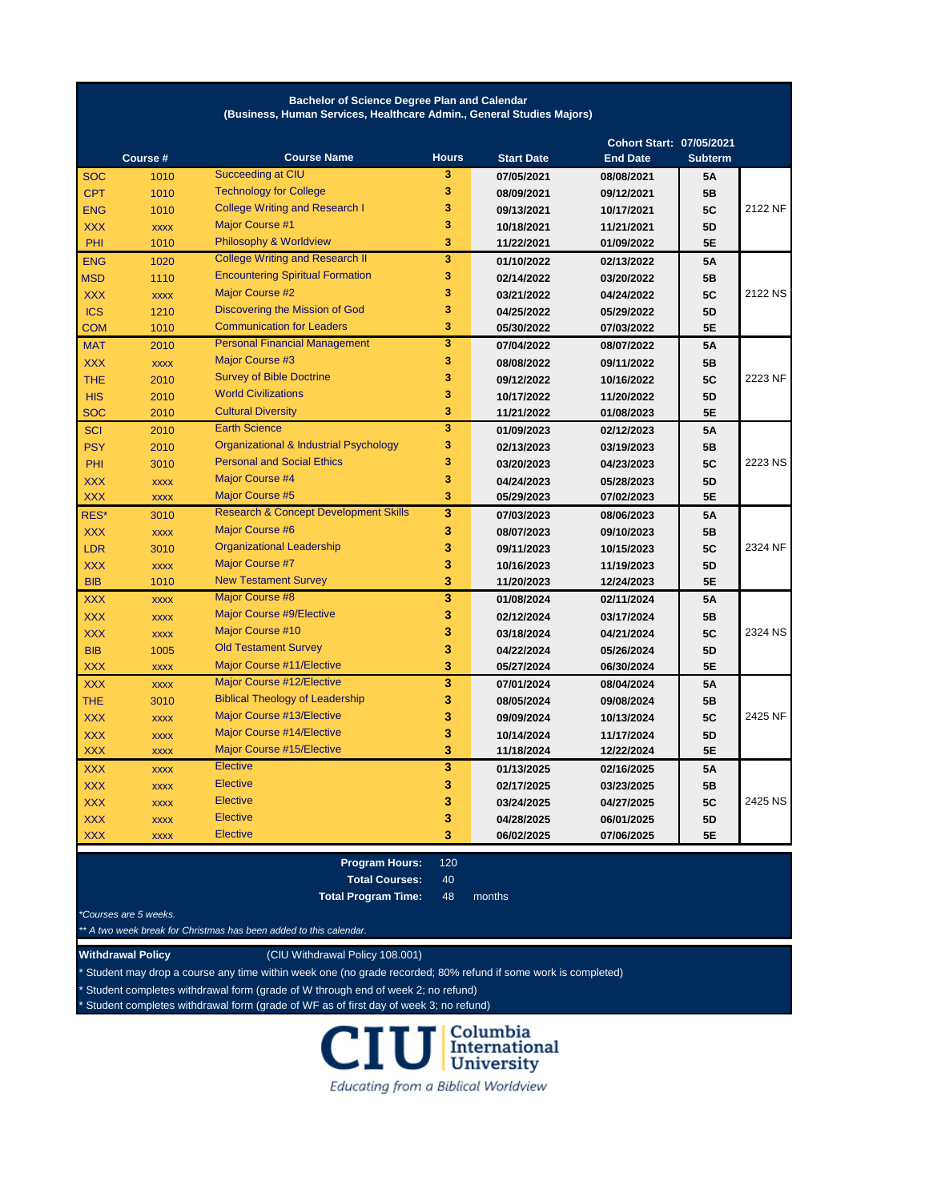| <b>Bachelor of Science Degree Plan and Calendar</b>                   |             |                                                  |                         |                   |                                                    |                |         |  |
|-----------------------------------------------------------------------|-------------|--------------------------------------------------|-------------------------|-------------------|----------------------------------------------------|----------------|---------|--|
| (Business, Human Services, Healthcare Admin., General Studies Majors) |             |                                                  |                         |                   |                                                    |                |         |  |
|                                                                       | Course #    | <b>Course Name</b>                               | <b>Hours</b>            | <b>Start Date</b> | <b>Cohort Start: 07/05/2021</b><br><b>End Date</b> | <b>Subterm</b> |         |  |
| <b>SOC</b>                                                            | 1010        | <b>Succeeding at CIU</b>                         | 3                       | 07/05/2021        | 08/08/2021                                         | <b>5A</b>      |         |  |
| <b>CPT</b>                                                            | 1010        | <b>Technology for College</b>                    | 3                       | 08/09/2021        | 09/12/2021                                         | 5B             |         |  |
| <b>ENG</b>                                                            | 1010        | <b>College Writing and Research I</b>            | 3                       | 09/13/2021        | 10/17/2021                                         | 5C             | 2122 NF |  |
| <b>XXX</b>                                                            | <b>XXXX</b> | Major Course #1                                  | 3                       | 10/18/2021        | 11/21/2021                                         | 5D             |         |  |
| PHI                                                                   | 1010        | Philosophy & Worldview                           | 3                       | 11/22/2021        | 01/09/2022                                         | 5E             |         |  |
| <b>ENG</b>                                                            | 1020        | <b>College Writing and Research II</b>           | 3                       | 01/10/2022        | 02/13/2022                                         | <b>5A</b>      |         |  |
| <b>MSD</b>                                                            | 1110        | <b>Encountering Spiritual Formation</b>          | 3                       | 02/14/2022        | 03/20/2022                                         | 5B             |         |  |
| <b>XXX</b>                                                            | <b>XXXX</b> | Major Course #2                                  | 3                       | 03/21/2022        | 04/24/2022                                         | 5C             | 2122 NS |  |
| <b>ICS</b>                                                            | 1210        | Discovering the Mission of God                   | 3                       | 04/25/2022        | 05/29/2022                                         | 5D             |         |  |
| <b>COM</b>                                                            | 1010        | <b>Communication for Leaders</b>                 | 3                       | 05/30/2022        | 07/03/2022                                         | 5E             |         |  |
| <b>MAT</b>                                                            | 2010        | <b>Personal Financial Management</b>             | 3                       | 07/04/2022        | 08/07/2022                                         | <b>5A</b>      |         |  |
| <b>XXX</b>                                                            | <b>XXXX</b> | Major Course #3                                  | 3                       | 08/08/2022        | 09/11/2022                                         | 5B             |         |  |
| <b>THE</b>                                                            | 2010        | <b>Survey of Bible Doctrine</b>                  | 3                       | 09/12/2022        | 10/16/2022                                         | 5C             | 2223 NF |  |
| <b>HIS</b>                                                            | 2010        | <b>World Civilizations</b>                       | 3                       | 10/17/2022        | 11/20/2022                                         | 5D             |         |  |
| <b>SOC</b>                                                            | 2010        | <b>Cultural Diversity</b>                        | 3                       | 11/21/2022        | 01/08/2023                                         | 5E             |         |  |
| <b>SCI</b>                                                            | 2010        | <b>Earth Science</b>                             | 3                       | 01/09/2023        | 02/12/2023                                         | <b>5A</b>      |         |  |
| <b>PSY</b>                                                            | 2010        | Organizational & Industrial Psychology           | 3                       | 02/13/2023        | 03/19/2023                                         | 5B             |         |  |
| PHI                                                                   | 3010        | <b>Personal and Social Ethics</b>                | 3                       | 03/20/2023        | 04/23/2023                                         | 5C             | 2223 NS |  |
| <b>XXX</b>                                                            | <b>XXXX</b> | Major Course #4                                  | 3                       | 04/24/2023        | 05/28/2023                                         | 5 <sub>D</sub> |         |  |
| <b>XXX</b>                                                            | <b>XXXX</b> | Major Course #5                                  | 3                       | 05/29/2023        | 07/02/2023                                         | 5E             |         |  |
| RES*                                                                  | 3010        | <b>Research &amp; Concept Development Skills</b> | $\overline{\mathbf{3}}$ | 07/03/2023        | 08/06/2023                                         | <b>5A</b>      |         |  |
| <b>XXX</b>                                                            | <b>XXXX</b> | Major Course #6                                  | 3                       | 08/07/2023        | 09/10/2023                                         | 5B             |         |  |
| <b>LDR</b>                                                            | 3010        | <b>Organizational Leadership</b>                 | 3                       | 09/11/2023        | 10/15/2023                                         | 5C             | 2324 NF |  |
| <b>XXX</b>                                                            | <b>XXXX</b> | Major Course #7                                  | 3                       | 10/16/2023        | 11/19/2023                                         | 5 <sub>D</sub> |         |  |
| <b>BIB</b>                                                            | 1010        | <b>New Testament Survey</b>                      | 3                       | 11/20/2023        | 12/24/2023                                         | 5E             |         |  |
| <b>XXX</b>                                                            | <b>XXXX</b> | <b>Major Course #8</b>                           | $\overline{\mathbf{3}}$ | 01/08/2024        | 02/11/2024                                         | <b>5A</b>      |         |  |
| <b>XXX</b>                                                            | <b>XXXX</b> | <b>Major Course #9/Elective</b>                  | 3                       | 02/12/2024        | 03/17/2024                                         | 5B             |         |  |
| <b>XXX</b>                                                            | <b>XXXX</b> | Major Course #10                                 | 3                       | 03/18/2024        | 04/21/2024                                         | 5C             | 2324 NS |  |
| <b>BIB</b>                                                            | 1005        | <b>Old Testament Survey</b>                      | 3                       | 04/22/2024        | 05/26/2024                                         | 5D             |         |  |
| <b>XXX</b>                                                            | <b>XXXX</b> | Major Course #11/Elective                        | 3                       | 05/27/2024        | 06/30/2024                                         | 5E             |         |  |
| <b>XXX</b>                                                            | <b>XXXX</b> | Major Course #12/Elective                        | 3                       | 07/01/2024        | 08/04/2024                                         | <b>5A</b>      |         |  |
| <b>THE</b>                                                            | 3010        | <b>Biblical Theology of Leadership</b>           | 3                       | 08/05/2024        | 09/08/2024                                         | 5B             |         |  |
| <b>XXX</b>                                                            | <b>XXXX</b> | Major Course #13/Elective                        | 3                       | 09/09/2024        | 10/13/2024                                         | 5C             | 2425 NF |  |
| <b>XXX</b>                                                            | <b>XXXX</b> | <b>Major Course #14/Elective</b>                 | 3                       | 10/14/2024        | 11/17/2024                                         | 5 <sub>D</sub> |         |  |
| <b>XXX</b>                                                            | <b>XXXX</b> | Major Course #15/Elective                        | 3                       | 11/18/2024        | 12/22/2024                                         | 5E             |         |  |
| <b>XXX</b>                                                            | <b>XXXX</b> | <b>Elective</b>                                  | $\mathbf{3}$            | 01/13/2025        | 02/16/2025                                         | <b>5A</b>      |         |  |
| <b>XXX</b>                                                            | <b>XXXX</b> | Elective                                         | 3                       | 02/17/2025        | 03/23/2025                                         | 5B             |         |  |
| <b>XXX</b>                                                            | <b>XXXX</b> | Elective                                         | 3                       | 03/24/2025        | 04/27/2025                                         | 5C             | 2425 NS |  |
| <b>XXX</b>                                                            | <b>XXXX</b> | Elective                                         | 3                       | 04/28/2025        | 06/01/2025                                         | 5D             |         |  |
| <b>XXX</b>                                                            | <b>XXXX</b> | Elective                                         | 3 <sup>5</sup>          | 06/02/2025        | 07/06/2025                                         | 5E             |         |  |

## **Program Hours: 120**

**Total Courses:** 40

**Total Program Time:** 48 months

*\*Courses are 5 weeks.* 

*\*\* A two week break for Christmas has been added to this calendar.*

**Withdrawal Policy** (CIU Withdrawal Policy 108.001)

\* Student may drop a course any time within week one (no grade recorded; 80% refund if some work is completed)

\* Student completes withdrawal form (grade of W through end of week 2; no refund) Student completes withdrawal form (grade of WF as of first day of week 3; no refund)

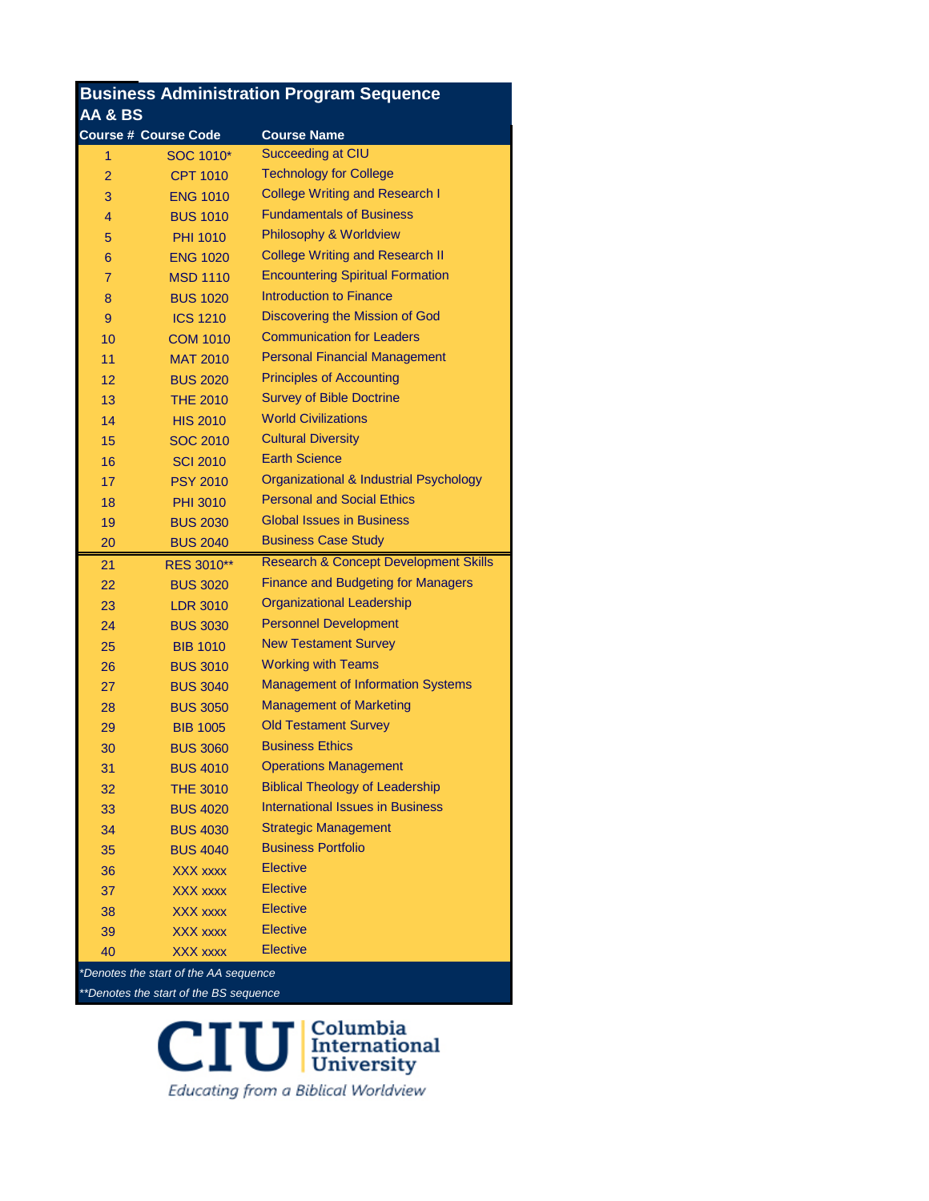| <b>Business Administration Program Sequence</b><br><b>AA &amp; BS</b> |                             |                                                  |  |  |  |
|-----------------------------------------------------------------------|-----------------------------|--------------------------------------------------|--|--|--|
|                                                                       | <b>Course # Course Code</b> | <b>Course Name</b>                               |  |  |  |
| 1                                                                     | SOC 1010*                   | Succeeding at CIU                                |  |  |  |
| $\overline{2}$                                                        | <b>CPT 1010</b>             | <b>Technology for College</b>                    |  |  |  |
| 3                                                                     | <b>ENG 1010</b>             | <b>College Writing and Research I</b>            |  |  |  |
| 4                                                                     | <b>BUS 1010</b>             | <b>Fundamentals of Business</b>                  |  |  |  |
| 5                                                                     | <b>PHI 1010</b>             | Philosophy & Worldview                           |  |  |  |
| 6                                                                     | <b>ENG 1020</b>             | <b>College Writing and Research II</b>           |  |  |  |
| $\overline{7}$                                                        | <b>MSD 1110</b>             | <b>Encountering Spiritual Formation</b>          |  |  |  |
| 8                                                                     | <b>BUS 1020</b>             | Introduction to Finance                          |  |  |  |
| 9                                                                     | <b>ICS 1210</b>             | Discovering the Mission of God                   |  |  |  |
| 10                                                                    | <b>COM 1010</b>             | <b>Communication for Leaders</b>                 |  |  |  |
| 11                                                                    | <b>MAT 2010</b>             | <b>Personal Financial Management</b>             |  |  |  |
| 12                                                                    | <b>BUS 2020</b>             | <b>Principles of Accounting</b>                  |  |  |  |
| 13                                                                    | <b>THE 2010</b>             | <b>Survey of Bible Doctrine</b>                  |  |  |  |
| 14                                                                    | <b>HIS 2010</b>             | <b>World Civilizations</b>                       |  |  |  |
| 15                                                                    | <b>SOC 2010</b>             | <b>Cultural Diversity</b>                        |  |  |  |
| 16                                                                    | <b>SCI 2010</b>             | <b>Earth Science</b>                             |  |  |  |
| 17                                                                    | <b>PSY 2010</b>             | Organizational & Industrial Psychology           |  |  |  |
| 18                                                                    | <b>PHI 3010</b>             | <b>Personal and Social Ethics</b>                |  |  |  |
| 19                                                                    | <b>BUS 2030</b>             | <b>Global Issues in Business</b>                 |  |  |  |
| 20                                                                    | <b>BUS 2040</b>             | <b>Business Case Study</b>                       |  |  |  |
| 21                                                                    | RES 3010**                  | <b>Research &amp; Concept Development Skills</b> |  |  |  |
| 22                                                                    | <b>BUS 3020</b>             | <b>Finance and Budgeting for Managers</b>        |  |  |  |
| 23                                                                    | <b>LDR 3010</b>             | <b>Organizational Leadership</b>                 |  |  |  |
| 24                                                                    | <b>BUS 3030</b>             | <b>Personnel Development</b>                     |  |  |  |
| 25                                                                    | <b>BIB 1010</b>             | <b>New Testament Survey</b>                      |  |  |  |
| 26                                                                    | <b>BUS 3010</b>             | <b>Working with Teams</b>                        |  |  |  |
| 27                                                                    | <b>BUS 3040</b>             | <b>Management of Information Systems</b>         |  |  |  |
| 28                                                                    | <b>BUS 3050</b>             | <b>Management of Marketing</b>                   |  |  |  |
| 29                                                                    | <b>BIB 1005</b>             | <b>Old Testament Survey</b>                      |  |  |  |
| 30                                                                    | <b>BUS 3060</b>             | <b>Business Ethics</b>                           |  |  |  |
| 31                                                                    | <b>BUS 4010</b>             | <b>Operations Management</b>                     |  |  |  |
| 32                                                                    | <b>THE 3010</b>             | <b>Biblical Theology of Leadership</b>           |  |  |  |
| 33                                                                    | <b>BUS 4020</b>             | <b>International Issues in Business</b>          |  |  |  |
| 34                                                                    | <b>BUS 4030</b>             | <b>Strategic Management</b>                      |  |  |  |
| 35                                                                    | <b>BUS 4040</b>             | <b>Business Portfolio</b>                        |  |  |  |
| 36                                                                    | XXX xxxx                    | <b>Elective</b>                                  |  |  |  |
| 37                                                                    | XXX xxxx                    | <b>Elective</b>                                  |  |  |  |
| 38                                                                    | XXX xxxx                    | <b>Elective</b>                                  |  |  |  |
| 39                                                                    | XXX xxxx                    | <b>Elective</b>                                  |  |  |  |
| 40                                                                    | XXX xxxx                    | <b>Elective</b>                                  |  |  |  |

*\*Denotes the start of the AA sequence*

*\*\*Denotes the start of the BS sequence* 

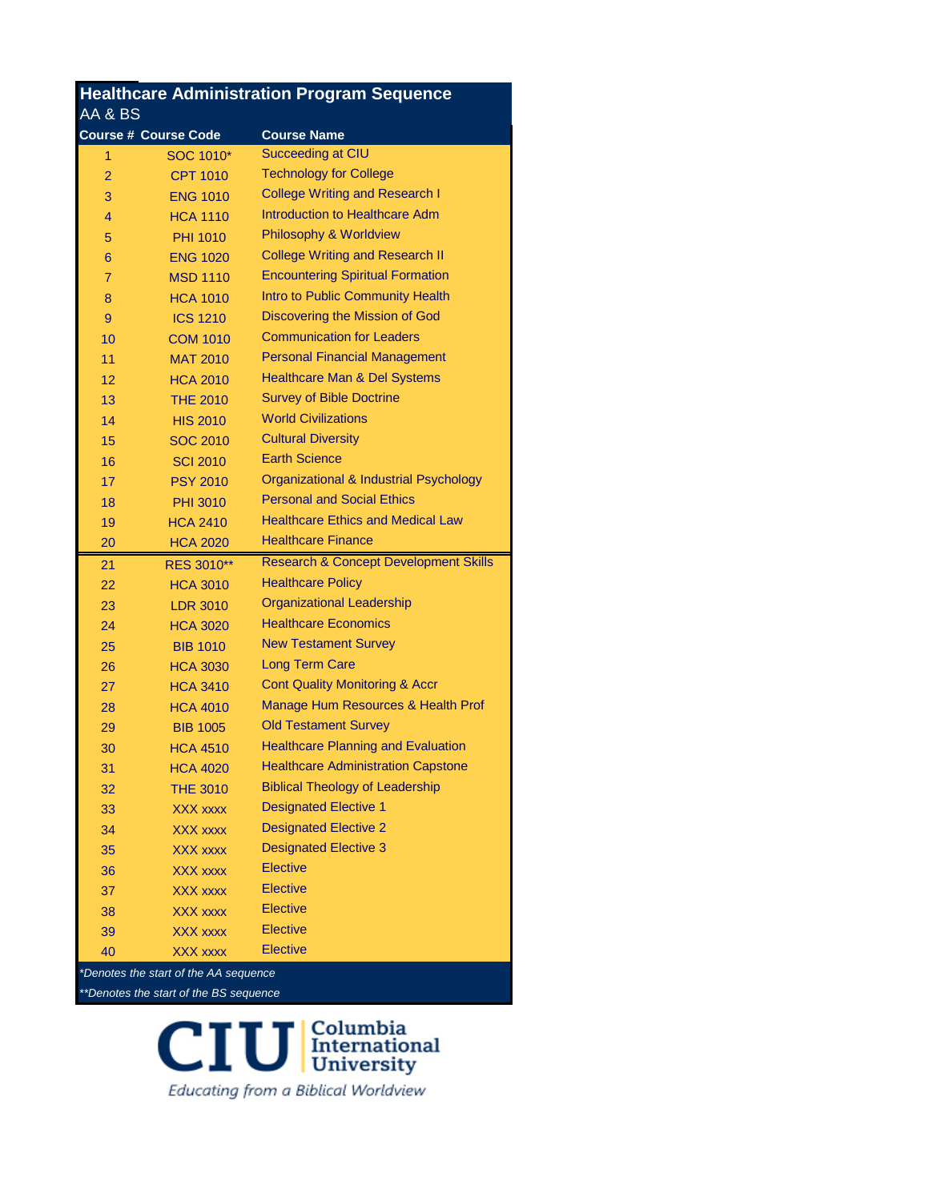| <b>Healthcare Administration Program Sequence</b> |                              |                                                               |  |  |
|---------------------------------------------------|------------------------------|---------------------------------------------------------------|--|--|
| AA & BS                                           |                              |                                                               |  |  |
|                                                   | <b>Course # Course Code</b>  | <b>Course Name</b><br>Succeeding at CIU                       |  |  |
| 1                                                 | SOC 1010*<br><b>CPT 1010</b> | <b>Technology for College</b>                                 |  |  |
| $\overline{2}$<br>3                               | <b>ENG 1010</b>              | <b>College Writing and Research I</b>                         |  |  |
|                                                   |                              | Introduction to Healthcare Adm                                |  |  |
| 4                                                 | <b>HCA 1110</b>              | Philosophy & Worldview                                        |  |  |
| 5                                                 | <b>PHI 1010</b>              | <b>College Writing and Research II</b>                        |  |  |
| 6                                                 | <b>ENG 1020</b>              | <b>Encountering Spiritual Formation</b>                       |  |  |
| $\overline{7}$                                    | <b>MSD 1110</b>              | Intro to Public Community Health                              |  |  |
| 8                                                 | <b>HCA 1010</b>              | Discovering the Mission of God                                |  |  |
| 9                                                 | <b>ICS 1210</b>              | <b>Communication for Leaders</b>                              |  |  |
| 10                                                | <b>COM 1010</b>              | <b>Personal Financial Management</b>                          |  |  |
| 11                                                | <b>MAT 2010</b>              |                                                               |  |  |
| $12 \overline{ }$                                 | <b>HCA 2010</b>              | <b>Healthcare Man &amp; Del Systems</b>                       |  |  |
| 13                                                | <b>THE 2010</b>              | <b>Survey of Bible Doctrine</b><br><b>World Civilizations</b> |  |  |
| 14                                                | <b>HIS 2010</b>              |                                                               |  |  |
| 15                                                | <b>SOC 2010</b>              | <b>Cultural Diversity</b>                                     |  |  |
| 16                                                | <b>SCI 2010</b>              | <b>Earth Science</b>                                          |  |  |
| 17                                                | <b>PSY 2010</b>              | Organizational & Industrial Psychology                        |  |  |
| 18                                                | <b>PHI 3010</b>              | <b>Personal and Social Ethics</b>                             |  |  |
| 19                                                | <b>HCA 2410</b>              | <b>Healthcare Ethics and Medical Law</b>                      |  |  |
| 20                                                | <b>HCA 2020</b>              | <b>Healthcare Finance</b>                                     |  |  |
| 21                                                | RES 3010**                   | <b>Research &amp; Concept Development Skills</b>              |  |  |
| 22                                                | <b>HCA 3010</b>              | <b>Healthcare Policy</b>                                      |  |  |
| 23                                                | <b>LDR 3010</b>              | <b>Organizational Leadership</b>                              |  |  |
| 24                                                | <b>HCA 3020</b>              | <b>Healthcare Economics</b>                                   |  |  |
| 25                                                | <b>BIB 1010</b>              | <b>New Testament Survey</b>                                   |  |  |
| 26                                                | <b>HCA 3030</b>              | <b>Long Term Care</b>                                         |  |  |
| 27                                                | <b>HCA 3410</b>              | <b>Cont Quality Monitoring &amp; Accr</b>                     |  |  |
| 28                                                | <b>HCA 4010</b>              | Manage Hum Resources & Health Prof                            |  |  |
| 29                                                | <b>BIB 1005</b>              | <b>Old Testament Survey</b>                                   |  |  |
| 30                                                | <b>HCA 4510</b>              | <b>Healthcare Planning and Evaluation</b>                     |  |  |
| 31                                                | <b>HCA 4020</b>              | <b>Healthcare Administration Capstone</b>                     |  |  |
| 32                                                | <b>THE 3010</b>              | <b>Biblical Theology of Leadership</b>                        |  |  |
| 33                                                | XXX xxxx                     | <b>Designated Elective 1</b>                                  |  |  |
| 34                                                | XXX xxxx                     | <b>Designated Elective 2</b>                                  |  |  |
| 35                                                | <b>XXX xxxx</b>              | <b>Designated Elective 3</b>                                  |  |  |
| 36                                                | <b>XXX xxxx</b>              | <b>Elective</b>                                               |  |  |
| 37                                                | <b>XXX xxxx</b>              | <b>Elective</b>                                               |  |  |
| 38                                                | XXX xxxx                     | <b>Elective</b>                                               |  |  |
| 39                                                | XXX xxxx                     | Elective                                                      |  |  |
| 40                                                | XXX xxxx                     | <b>Elective</b>                                               |  |  |

*\*Denotes the start of the AA sequence \*\*Denotes the start of the BS sequence* 

> $CIU$  International Educating from a Biblical Worldview